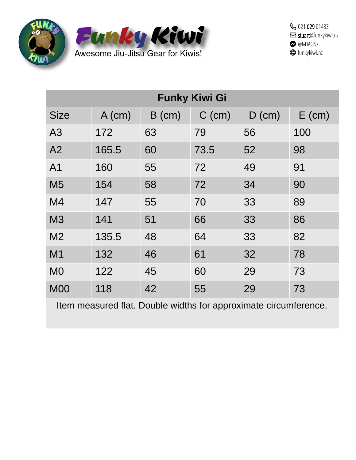



| <b>Funky Kiwi Gi</b> |          |          |          |          |          |  |
|----------------------|----------|----------|----------|----------|----------|--|
| <b>Size</b>          | $A$ (cm) | $B$ (cm) | $C$ (cm) | $D$ (cm) | $E$ (cm) |  |
| A <sub>3</sub>       | 172      | 63       | 79       | 56       | 100      |  |
| A <sub>2</sub>       | 165.5    | 60       | 73.5     | 52       | 98       |  |
| A1                   | 160      | 55       | 72       | 49       | 91       |  |
| M <sub>5</sub>       | 154      | 58       | 72       | 34       | 90       |  |
| M <sub>4</sub>       | 147      | 55       | 70       | 33       | 89       |  |
| M <sub>3</sub>       | 141      | 51       | 66       | 33       | 86       |  |
| M <sub>2</sub>       | 135.5    | 48       | 64       | 33       | 82       |  |
| M <sub>1</sub>       | 132      | 46       | 61       | 32       | 78       |  |
| M <sub>0</sub>       | 122      | 45       | 60       | 29       | 73       |  |
| <b>M00</b>           | 118      | 42       | 55       | 29       | 73       |  |

Item measured flat. Double widths for approximate circumference.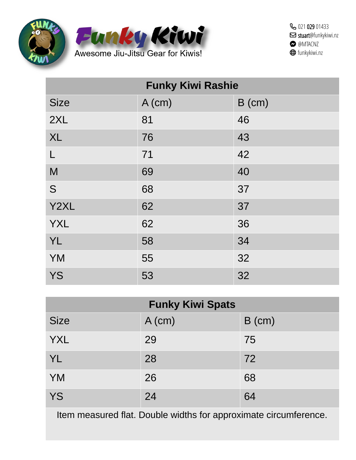



| <b>Funky Kiwi Rashie</b> |          |          |  |  |
|--------------------------|----------|----------|--|--|
| <b>Size</b>              | $A$ (cm) | $B$ (cm) |  |  |
| 2XL                      | 81       | 46       |  |  |
| <b>XL</b>                | 76       | 43       |  |  |
| $\mathsf{L}$             | 71       | 42       |  |  |
| M                        | 69       | 40       |  |  |
| S                        | 68       | 37       |  |  |
| Y2XL                     | 62       | 37       |  |  |
| <b>YXL</b>               | 62       | 36       |  |  |
| <b>YL</b>                | 58       | 34       |  |  |
| <b>YM</b>                | 55       | 32       |  |  |
| <b>YS</b>                | 53       | 32       |  |  |

| <b>Funky Kiwi Spats</b> |          |          |  |  |
|-------------------------|----------|----------|--|--|
| <b>Size</b>             | $A$ (cm) | $B$ (cm) |  |  |
| <b>YXL</b>              | 29       | 75       |  |  |
| <b>YL</b>               | 28       | 72       |  |  |
| <b>YM</b>               | 26       | 68       |  |  |
| <b>YS</b>               | 24       | 64       |  |  |

Item measured flat. Double widths for approximate circumference.